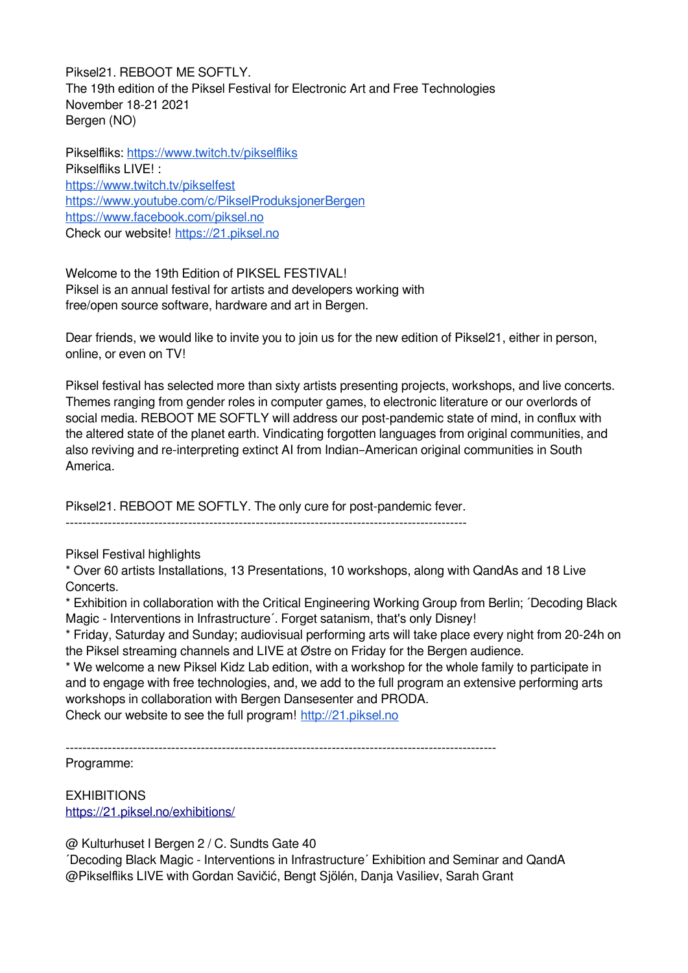Piksel21. REBOOT ME SOFTLY. The 19th edition of the Piksel Festival for Electronic Art and Free Technologies November 18-21 2021 Bergen (NO)

Pikselfliks: <https://www.twitch.tv/pikselfliks> Pikselfliks LIVE! : <https://www.twitch.tv/pikselfest> <https://www.youtube.com/c/PikselProduksjonerBergen> <https://www.facebook.com/piksel.no> Check our website! https://21.piksel.no

Welcome to the 19th Edition of PIKSEL FESTIVAL! Piksel is an annual festival for artists and developers working with free/open source software, hardware and art in Bergen.

Dear friends, we would like to invite you to join us for the new edition of Piksel21, either in person, online, or even on TV!

Piksel festival has selected more than sixty artists presenting projects, workshops, and live concerts. Themes ranging from gender roles in computer games, to electronic literature or our overlords of social media. REBOOT ME SOFTLY will address our post-pandemic state of mind, in conflux with the altered state of the planet earth. Vindicating forgotten languages from original communities, and also reviving and re-interpreting extinct AI from Indian–American original communities in South America.

Piksel21. REBOOT ME SOFTLY. The only cure for post-pandemic fever.

-----------------------------------------------------------------------------------------------

Piksel Festival highlights

\* Over 60 artists Installations, 13 Presentations, 10 workshops, along with QandAs and 18 Live Concerts.

\* Exhibition in collaboration with the Critical Engineering Working Group from Berlin; ´Decoding Black Magic - Interventions in Infrastructure'. Forget satanism, that's only Disney!

\* Friday, Saturday and Sunday; audiovisual performing arts will take place every night from 20-24h on the Piksel streaming channels and LIVE at Østre on Friday for the Bergen audience.

\* We welcome a new Piksel Kidz Lab edition, with a workshop for the whole family to participate in and to engage with free technologies, and, we add to the full program an extensive performing arts workshops in collaboration with Bergen Dansesenter and PRODA.

Check our website to see the full program! [http://21.piksel.no](http://20.piksel.no/)

------------------------------------------------------------------------------------------------------

Programme:

**EXHIBITIONS** <https://21.piksel.no/exhibitions/>

@ Kulturhuset I Bergen 2 / C. Sundts Gate 40

´Decoding Black Magic - Interventions in Infrastructure´ Exhibition and Seminar and QandA @Pikselfliks LIVE with Gordan Savičić, Bengt Sjölén, Danja Vasiliev, Sarah Grant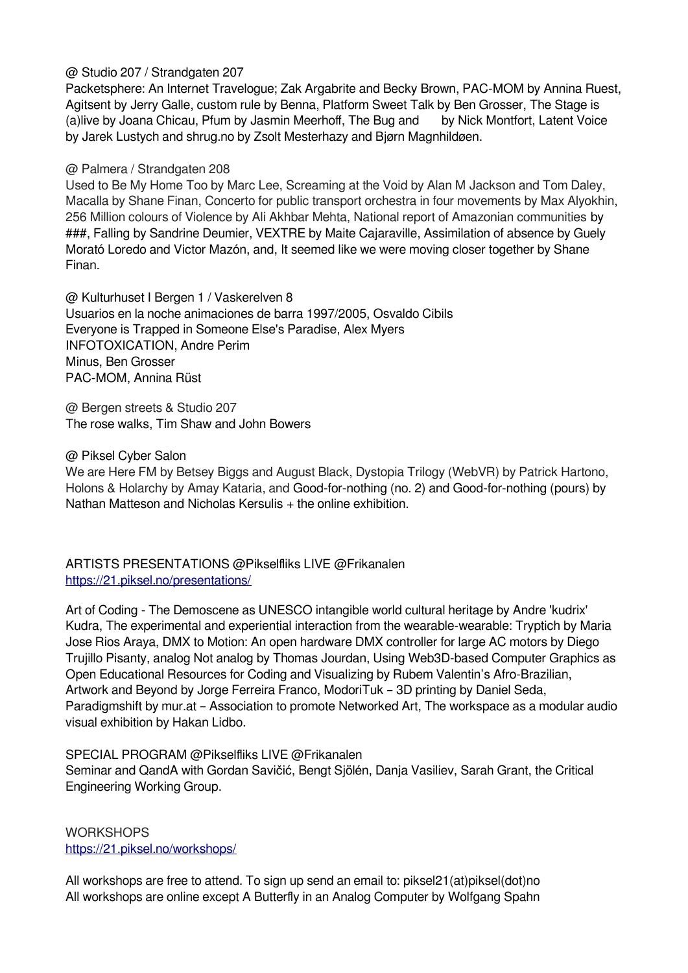#### @ Studio 207 / Strandgaten 207

Packetsphere: An Internet Travelogue; Zak Argabrite and Becky Brown, PAC-MOM by Annina Ruest, Agitsent by Jerry Galle, custom rule by Benna, Platform Sweet Talk by Ben Grosser, The Stage is (a)live by Joana Chicau, Pfum by Jasmin Meerhoff, The Bug and by Nick Montfort, Latent Voice by Jarek Lustych and shrug.no by Zsolt Mesterhazy and Bjørn Magnhildøen.

## @ Palmera / Strandgaten 208

Used to Be My Home Too by Marc Lee, Screaming at the Void by Alan M Jackson and Tom Daley, Macalla by Shane Finan, Concerto for public transport orchestra in four movements by Max Alyokhin, 256 Million colours of Violence by Ali Akhbar Mehta, National report of Amazonian communities by ###, Falling by Sandrine Deumier, VEXTRE by Maite Cajaraville, Assimilation of absence by Guely Morató Loredo and Victor Mazón, and, It seemed like we were moving closer together by Shane Finan.

@ Kulturhuset I Bergen 1 / Vaskerelven 8 Usuarios en la noche animaciones de barra 1997/2005, Osvaldo Cibils Everyone is Trapped in Someone Else's Paradise, Alex Myers INFOTOXICATION, Andre Perim Minus, Ben Grosser PAC-MOM, Annina Rüst

@ Bergen streets & Studio 207 The rose walks, Tim Shaw and John Bowers

## @ Piksel Cyber Salon

We are Here FM by Betsey Biggs and August Black, Dystopia Trilogy (WebVR) by Patrick Hartono, Holons & Holarchy by Amay Kataria, and Good-for-nothing (no. 2) and Good-for-nothing (pours) by Nathan Matteson and Nicholas Kersulis + the online exhibition.

ARTISTS PRESENTATIONS @Pikselfliks LIVE @Frikanalen <https://21.piksel.no/presentations/>

Art of Coding - The Demoscene as UNESCO intangible world cultural heritage by Andre 'kudrix' Kudra, The experimental and experiential interaction from the wearable-wearable: Tryptich by Maria Jose Rios Araya, DMX to Motion: An open hardware DMX controller for large AC motors by Diego Trujillo Pisanty, analog Not analog by Thomas Jourdan, Using Web3D-based Computer Graphics as Open Educational Resources for Coding and Visualizing by Rubem Valentin's Afro-Brazilian, Artwork and Beyond by Jorge Ferreira Franco, ModoriTuk – 3D printing by Daniel Seda, Paradigmshift by mur.at – Association to promote Networked Art, The workspace as a modular audio visual exhibition by Hakan Lidbo.

SPECIAL PROGRAM @Pikselfliks LIVE @Frikanalen

Seminar and QandA with Gordan Savičić, Bengt Sjölén, Danja Vasiliev, Sarah Grant, the Critical Engineering Working Group.

# **WORKSHOPS** <https://21.piksel.no/workshops/>

All workshops are free to attend. To sign up send an email to: piksel21(at)piksel(dot)no All workshops are online except A Butterfly in an Analog Computer by Wolfgang Spahn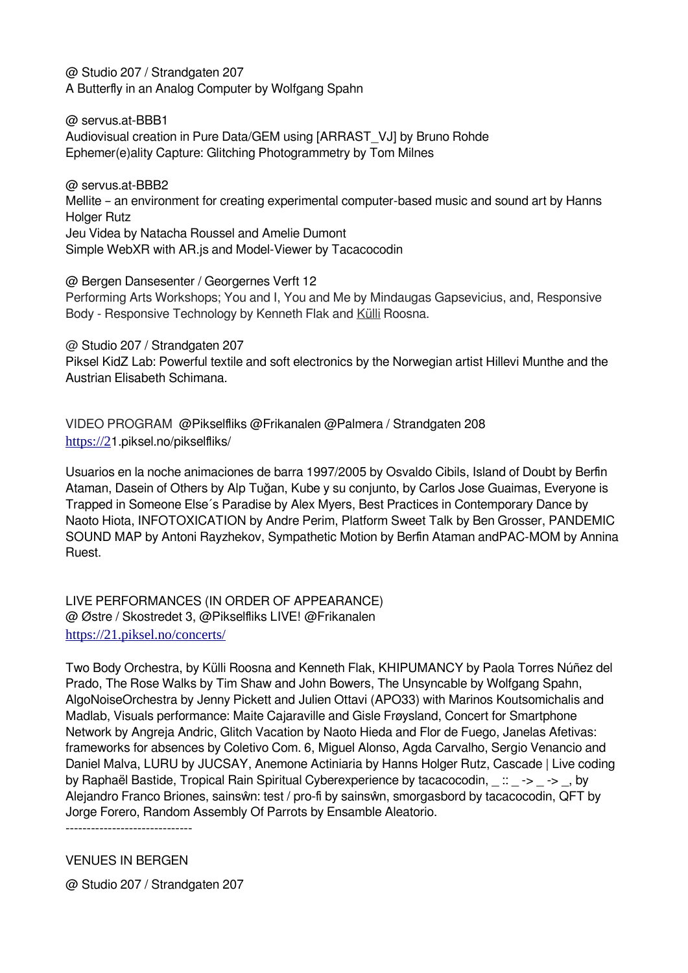@ Studio 207 / Strandgaten 207 A Butterfly in an Analog Computer by Wolfgang Spahn

@ servus.at-BBB1 Audiovisual creation in Pure Data/GEM using [ARRAST\_VJ] by Bruno Rohde Ephemer(e)ality Capture: Glitching Photogrammetry by Tom Milnes

@ servus.at-BBB2 Mellite – an environment for creating experimental computer-based music and sound art by Hanns Holger Rutz Jeu Videa by Natacha Roussel and Amelie Dumont Simple WebXR with AR.js and Model-Viewer by Tacacocodin

@ Bergen Dansesenter / Georgernes Verft 12 Performing Arts Workshops; You and I, You and Me by Mindaugas Gapsevicius, and, Responsive Body - Responsive Technology by Kenneth Flak and [Külli](https://piksel.no/2021/09/30/responsive-body-responsive-technology-workshop-by-kenneth-flak-and-kulli-roosna-no-ee) Roosna.

@ Studio 207 / Strandgaten 207 Piksel KidZ Lab: Powerful textile and soft electronics by the Norwegian artist Hillevi Munthe and the Austrian Elisabeth Schimana.

VIDEO PROGRAM @Pikselfliks @Frikanalen @Palmera / Strandgaten 208 [https://2](https://20.piksel.no/pikselfliks/)[1.piksel.no/pikselfliks/](https://20.piksel.no/pikselfliks/)

Usuarios en la noche animaciones de barra 1997/2005 by Osvaldo Cibils, Island of Doubt by Berfin Ataman, Dasein of Others by Alp Tuğan, Kube y su conjunto, by Carlos Jose Guaimas, Everyone is Trapped in Someone Else´s Paradise by Alex Myers, Best Practices in Contemporary Dance by Naoto Hiota, INFOTOXICATION by Andre Perim, Platform Sweet Talk by Ben Grosser, PANDEMIC SOUND MAP by Antoni Rayzhekov, Sympathetic Motion by Berfin Ataman andPAC-MOM by Annina Ruest.

LIVE PERFORMANCES (IN ORDER OF APPEARANCE) @ Østre / Skostredet 3, @Pikselfliks LIVE! @Frikanalen <https://21.piksel.no/concerts/>

Two Body Orchestra, by Külli Roosna and Kenneth Flak, KHIPUMANCY by Paola Torres Núñez del Prado, The Rose Walks by Tim Shaw and John Bowers, The Unsyncable by Wolfgang Spahn, AlgoNoiseOrchestra by Jenny Pickett and Julien Ottavi (APO33) with Marinos Koutsomichalis and Madlab, Visuals performance: Maite Cajaraville and Gisle Frøysland, Concert for Smartphone Network by Angreja Andric, Glitch Vacation by Naoto Hieda and Flor de Fuego, Janelas Afetivas: frameworks for absences by Coletivo Com. 6, Miguel Alonso, Agda Carvalho, Sergio Venancio and Daniel Malva, LURU by JUCSAY, Anemone Actiniaria by Hanns Holger Rutz, Cascade | Live coding by Raphaël Bastide, Tropical Rain Spiritual Cyberexperience by tacacocodin,  $\therefore$  -> -> , by Alejandro Franco Briones, sainsŵn: test / pro-fi by sainsŵn, smorgasbord by tacacocodin, QFT by Jorge Forero, Random Assembly Of Parrots by Ensamble Aleatorio.

------------------------------

VENUES IN BERGEN

@ Studio 207 / Strandgaten 207